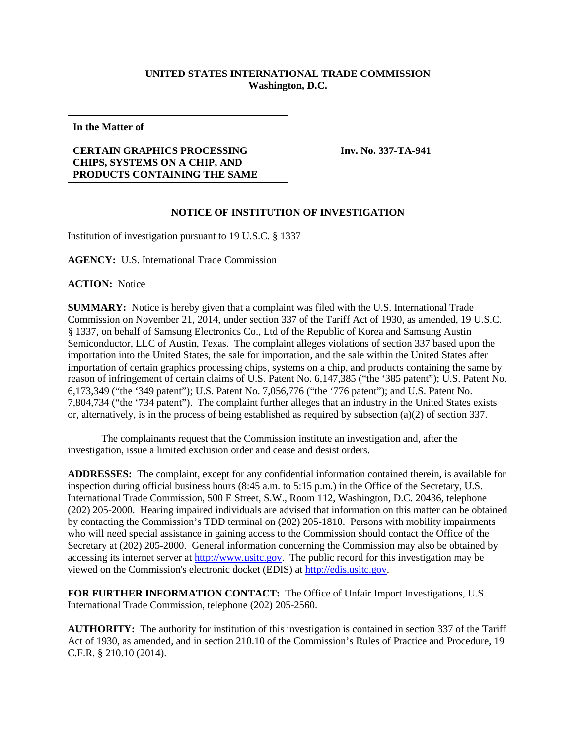## **UNITED STATES INTERNATIONAL TRADE COMMISSION Washington, D.C.**

**In the Matter of**

## **CERTAIN GRAPHICS PROCESSING CHIPS, SYSTEMS ON A CHIP, AND PRODUCTS CONTAINING THE SAME**

**Inv. No. 337-TA-941**

## **NOTICE OF INSTITUTION OF INVESTIGATION**

Institution of investigation pursuant to 19 U.S.C. § 1337

**AGENCY:** U.S. International Trade Commission

**ACTION:** Notice

**SUMMARY:** Notice is hereby given that a complaint was filed with the U.S. International Trade Commission on November 21, 2014, under section 337 of the Tariff Act of 1930, as amended, 19 U.S.C. § 1337, on behalf of Samsung Electronics Co., Ltd of the Republic of Korea and Samsung Austin Semiconductor, LLC of Austin, Texas. The complaint alleges violations of section 337 based upon the importation into the United States, the sale for importation, and the sale within the United States after importation of certain graphics processing chips, systems on a chip, and products containing the same by reason of infringement of certain claims of U.S. Patent No. 6,147,385 ("the '385 patent"); U.S. Patent No. 6,173,349 ("the '349 patent"); U.S. Patent No. 7,056,776 ("the '776 patent"); and U.S. Patent No. 7,804,734 ("the '734 patent"). The complaint further alleges that an industry in the United States exists or, alternatively, is in the process of being established as required by subsection (a)(2) of section 337.

The complainants request that the Commission institute an investigation and, after the investigation, issue a limited exclusion order and cease and desist orders.

**ADDRESSES:** The complaint, except for any confidential information contained therein, is available for inspection during official business hours (8:45 a.m. to 5:15 p.m.) in the Office of the Secretary, U.S. International Trade Commission, 500 E Street, S.W., Room 112, Washington, D.C. 20436, telephone (202) 205-2000. Hearing impaired individuals are advised that information on this matter can be obtained by contacting the Commission's TDD terminal on (202) 205-1810. Persons with mobility impairments who will need special assistance in gaining access to the Commission should contact the Office of the Secretary at (202) 205-2000. General information concerning the Commission may also be obtained by accessing its internet server a[t http://www.usitc.gov.](http://www.usitc.gov/) The public record for this investigation may be viewed on the Commission's electronic docket (EDIS) at [http://edis.usitc.gov.](http://edis.usitc.gov/)

**FOR FURTHER INFORMATION CONTACT:** The Office of Unfair Import Investigations, U.S. International Trade Commission, telephone (202) 205-2560.

**AUTHORITY:** The authority for institution of this investigation is contained in section 337 of the Tariff Act of 1930, as amended, and in section 210.10 of the Commission's Rules of Practice and Procedure, 19 C.F.R. § 210.10 (2014).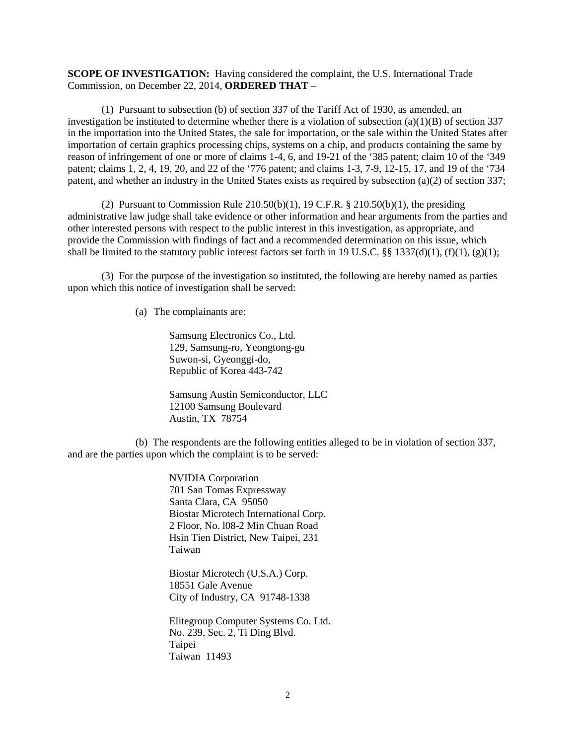**SCOPE OF INVESTIGATION:** Having considered the complaint, the U.S. International Trade Commission, on December 22, 2014, **ORDERED THAT** –

(1) Pursuant to subsection (b) of section 337 of the Tariff Act of 1930, as amended, an investigation be instituted to determine whether there is a violation of subsection  $(a)(1)(B)$  of section 337 in the importation into the United States, the sale for importation, or the sale within the United States after importation of certain graphics processing chips, systems on a chip, and products containing the same by reason of infringement of one or more of claims 1-4, 6, and 19-21 of the '385 patent; claim 10 of the '349 patent; claims 1, 2, 4, 19, 20, and 22 of the '776 patent; and claims 1-3, 7-9, 12-15, 17, and 19 of the '734 patent, and whether an industry in the United States exists as required by subsection (a)(2) of section 337;

(2) Pursuant to Commission Rule  $210.50(b)(1)$ , 19 C.F.R. §  $210.50(b)(1)$ , the presiding administrative law judge shall take evidence or other information and hear arguments from the parties and other interested persons with respect to the public interest in this investigation, as appropriate, and provide the Commission with findings of fact and a recommended determination on this issue, which shall be limited to the statutory public interest factors set forth in 19 U.S.C. §§ 1337(d)(1), (f)(1), (g)(1);

(3) For the purpose of the investigation so instituted, the following are hereby named as parties upon which this notice of investigation shall be served:

(a) The complainants are:

Samsung Electronics Co., Ltd. 129, Samsung-ro, Yeongtong-gu Suwon-si, Gyeonggi-do, Republic of Korea 443-742

Samsung Austin Semiconductor, LLC 12100 Samsung Boulevard Austin, TX 78754

(b) The respondents are the following entities alleged to be in violation of section 337, and are the parties upon which the complaint is to be served:

> NVIDIA Corporation 701 San Tomas Expressway Santa Clara, CA 95050 Biostar Microtech International Corp. 2 Floor, No. l08-2 Min Chuan Road Hsin Tien District, New Taipei, 231 Taiwan

Biostar Microtech (U.S.A.) Corp. 18551 Gale Avenue City of Industry, CA 91748-1338

Elitegroup Computer Systems Co. Ltd. No. 239, Sec. 2, Ti Ding Blvd. Taipei Taiwan 11493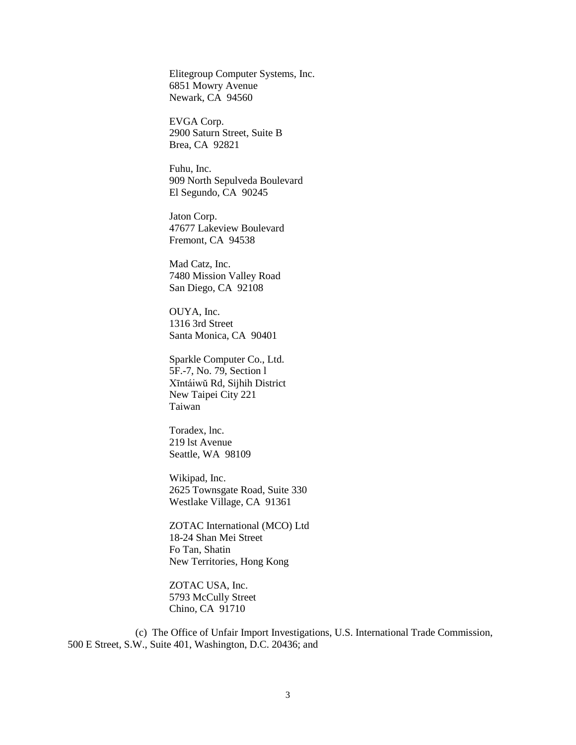Elitegroup Computer Systems, Inc. 6851 Mowry Avenue Newark, CA 94560

EVGA Corp. 2900 Saturn Street, Suite B Brea, CA 92821

Fuhu, Inc. 909 North Sepulveda Boulevard El Segundo, CA 90245

Jaton Corp. 47677 Lakeview Boulevard Fremont, CA 94538

Mad Catz, Inc. 7480 Mission Valley Road San Diego, CA 92108

OUYA, Inc. 1316 3rd Street Santa Monica, CA 90401

Sparkle Computer Co., Ltd. 5F.-7, No. 79, Section l Xīntáiwŭ Rd, Sijhih District New Taipei City 221 Taiwan

Toradex, lnc. 219 lst Avenue Seattle, WA 98109

Wikipad, Inc. 2625 Townsgate Road, Suite 330 Westlake Village, CA 91361

ZOTAC International (MCO) Ltd 18-24 Shan Mei Street Fo Tan, Shatin New Territories, Hong Kong

ZOTAC USA, Inc. 5793 McCully Street Chino, CA 91710

(c) The Office of Unfair Import Investigations, U.S. International Trade Commission, 500 E Street, S.W., Suite 401, Washington, D.C. 20436; and